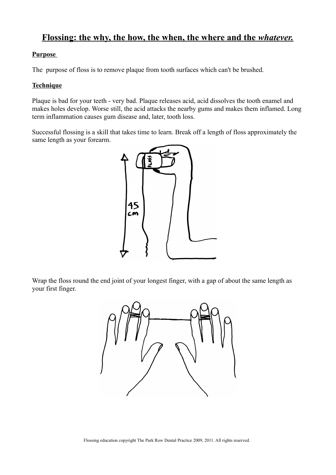# **Flossing: the why, the how, the when, the where and the** *whatever.*

### **Purpose**

The purpose of floss is to remove plaque from tooth surfaces which can't be brushed.

### **Technique**

Plaque is bad for your teeth - very bad. Plaque releases acid, acid dissolves the tooth enamel and makes holes develop. Worse still, the acid attacks the nearby gums and makes them inflamed. Long term inflammation causes gum disease and, later, tooth loss.

Successful flossing is a skill that takes time to learn. Break off a length of floss approximately the same length as your forearm.



Wrap the floss round the end joint of your longest finger, with a gap of about the same length as your first finger.

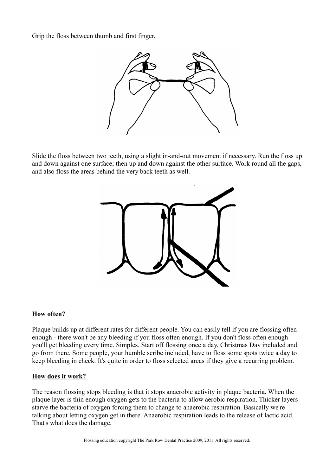Grip the floss between thumb and first finger.



Slide the floss between two teeth, using a slight in-and-out movement if necessary. Run the floss up and down against one surface; then up and down against the other surface. Work round all the gaps, and also floss the areas behind the very back teeth as well.



#### **How often?**

Plaque builds up at different rates for different people. You can easily tell if you are flossing often enough - there won't be any bleeding if you floss often enough. If you don't floss often enough you'll get bleeding every time. Simples. Start off flossing once a day, Christmas Day included and go from there. Some people, your humble scribe included, have to floss some spots twice a day to keep bleeding in check. It's quite in order to floss selected areas if they give a recurring problem.

#### **How does it work?**

The reason flossing stops bleeding is that it stops anaerobic activity in plaque bacteria. When the plaque layer is thin enough oxygen gets to the bacteria to allow aerobic respiration. Thicker layers starve the bacteria of oxygen forcing them to change to anaerobic respiration. Basically we're talking about letting oxygen get in there. Anaerobic respiration leads to the release of lactic acid. That's what does the damage.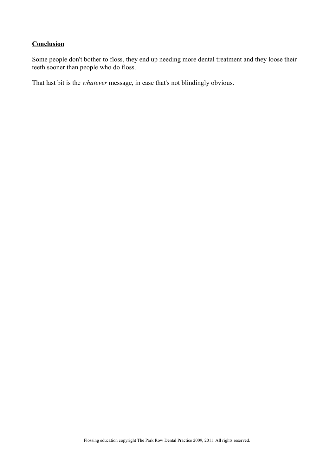## **Conclusion**

Some people don't bother to floss, they end up needing more dental treatment and they loose their teeth sooner than people who do floss.

That last bit is the *whatever* message, in case that's not blindingly obvious.